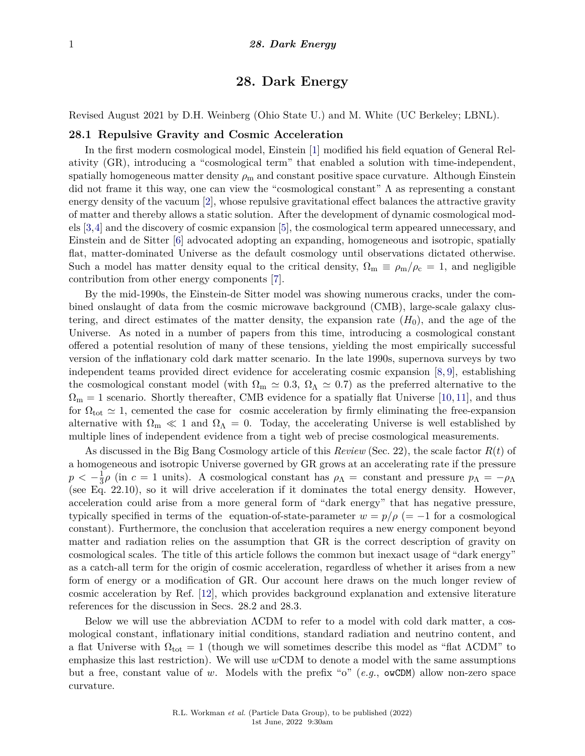# **28. Dark Energy**

Revised August 2021 by D.H. Weinberg (Ohio State U.) and M. White (UC Berkeley; LBNL).

### **28.1 Repulsive Gravity and Cosmic Acceleration**

In the first modern cosmological model, Einstein [\[1\]](#page-16-0) modified his field equation of General Relativity (GR), introducing a "cosmological term" that enabled a solution with time-independent, spatially homogeneous matter density  $\rho_m$  and constant positive space curvature. Although Einstein did not frame it this way, one can view the "cosmological constant" Λ as representing a constant energy density of the vacuum [\[2\]](#page-16-1), whose repulsive gravitational effect balances the attractive gravity of matter and thereby allows a static solution. After the development of dynamic cosmological models [\[3,](#page-16-2)[4\]](#page-16-3) and the discovery of cosmic expansion [\[5\]](#page-16-4), the cosmological term appeared unnecessary, and Einstein and de Sitter [\[6\]](#page-16-5) advocated adopting an expanding, homogeneous and isotropic, spatially flat, matter-dominated Universe as the default cosmology until observations dictated otherwise. Such a model has matter density equal to the critical density,  $\Omega_{\rm m} \equiv \rho_{\rm m}/\rho_{\rm c} = 1$ , and negligible contribution from other energy components [\[7\]](#page-16-6).

By the mid-1990s, the Einstein-de Sitter model was showing numerous cracks, under the combined onslaught of data from the cosmic microwave background (CMB), large-scale galaxy clustering, and direct estimates of the matter density, the expansion rate  $(H_0)$ , and the age of the Universe. As noted in a number of papers from this time, introducing a cosmological constant offered a potential resolution of many of these tensions, yielding the most empirically successful version of the inflationary cold dark matter scenario. In the late 1990s, supernova surveys by two independent teams provided direct evidence for accelerating cosmic expansion [\[8,](#page-17-0) [9\]](#page-17-1), establishing the cosmological constant model (with  $\Omega_m \simeq 0.3$ ,  $\Omega_{\Lambda} \simeq 0.7$ ) as the preferred alternative to the  $\Omega_{\rm m} = 1$  scenario. Shortly thereafter, CMB evidence for a spatially flat Universe [\[10,](#page-17-2) [11\]](#page-17-3), and thus for  $\Omega_{\text{tot}} \simeq 1$ , cemented the case for cosmic acceleration by firmly eliminating the free-expansion alternative with  $\Omega_m \ll 1$  and  $\Omega_{\Lambda} = 0$ . Today, the accelerating Universe is well established by multiple lines of independent evidence from a tight web of precise cosmological measurements.

As discussed in the Big Bang Cosmology article of this *Review* (Sec. 22), the scale factor *R*(*t*) of a homogeneous and isotropic Universe governed by GR grows at an accelerating rate if the pressure  $p < -\frac{1}{3}$  $\frac{1}{3}\rho$  (in  $c = 1$  units). A cosmological constant has  $\rho_{\Lambda} =$  constant and pressure  $p_{\Lambda} = -\rho_{\Lambda}$ (see Eq. 22.10), so it will drive acceleration if it dominates the total energy density. However, acceleration could arise from a more general form of "dark energy" that has negative pressure, typically specified in terms of the equation-of-state-parameter  $w = p/\rho$  (= −1 for a cosmological constant). Furthermore, the conclusion that acceleration requires a new energy component beyond matter and radiation relies on the assumption that GR is the correct description of gravity on cosmological scales. The title of this article follows the common but inexact usage of "dark energy" as a catch-all term for the origin of cosmic acceleration, regardless of whether it arises from a new form of energy or a modification of GR. Our account here draws on the much longer review of cosmic acceleration by Ref. [\[12\]](#page-17-4), which provides background explanation and extensive literature references for the discussion in Secs. 28.2 and 28.3.

Below we will use the abbreviation ΛCDM to refer to a model with cold dark matter, a cosmological constant, inflationary initial conditions, standard radiation and neutrino content, and a flat Universe with  $\Omega_{\text{tot}} = 1$  (though we will sometimes describe this model as "flat  $\Lambda \text{CDM}$ " to emphasize this last restriction). We will use *w*CDM to denote a model with the same assumptions but a free, constant value of *w*. Models with the prefix "o" (*e.g.*, owCDM) allow non-zero space curvature.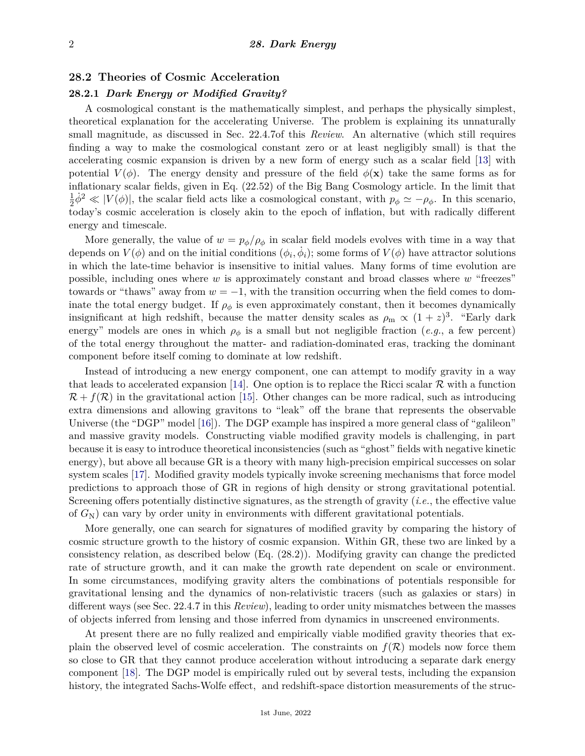### **28.2 Theories of Cosmic Acceleration**

# **28.2.1** *Dark Energy or Modified Gravity?*

A cosmological constant is the mathematically simplest, and perhaps the physically simplest, theoretical explanation for the accelerating Universe. The problem is explaining its unnaturally small magnitude, as discussed in Sec. 22.4.7of this *Review*. An alternative (which still requires finding a way to make the cosmological constant zero or at least negligibly small) is that the accelerating cosmic expansion is driven by a new form of energy such as a scalar field [\[13\]](#page-17-5) with potential  $V(\phi)$ . The energy density and pressure of the field  $\phi(\mathbf{x})$  take the same forms as for inflationary scalar fields, given in Eq. (22.52) of the Big Bang Cosmology article. In the limit that 1  $\frac{1}{2}\dot{\phi}^2 \ll |V(\phi)|$ , the scalar field acts like a cosmological constant, with  $p_{\phi} \simeq -\rho_{\phi}$ . In this scenario, today's cosmic acceleration is closely akin to the epoch of inflation, but with radically different energy and timescale.

More generally, the value of  $w = p_{\phi}/\rho_{\phi}$  in scalar field models evolves with time in a way that depends on  $V(\phi)$  and on the initial conditions  $(\phi_i, \dot{\phi}_i)$ ; some forms of  $V(\phi)$  have attractor solutions in which the late-time behavior is insensitive to initial values. Many forms of time evolution are possible, including ones where *w* is approximately constant and broad classes where *w* "freezes" towards or "thaws" away from  $w = -1$ , with the transition occurring when the field comes to dominate the total energy budget. If  $\rho_{\phi}$  is even approximately constant, then it becomes dynamically insignificant at high redshift, because the matter density scales as  $\rho_m \propto (1+z)^3$ . "Early dark energy" models are ones in which  $\rho_{\phi}$  is a small but not negligible fraction (*e.g.*, a few percent) of the total energy throughout the matter- and radiation-dominated eras, tracking the dominant component before itself coming to dominate at low redshift.

Instead of introducing a new energy component, one can attempt to modify gravity in a way that leads to accelerated expansion [\[14\]](#page-17-6). One option is to replace the Ricci scalar  $\mathcal R$  with a function  $\mathcal{R} + f(\mathcal{R})$  in the gravitational action [\[15\]](#page-17-7). Other changes can be more radical, such as introducing extra dimensions and allowing gravitons to "leak" off the brane that represents the observable Universe (the "DGP" model [\[16\]](#page-17-8)). The DGP example has inspired a more general class of "galileon" and massive gravity models. Constructing viable modified gravity models is challenging, in part because it is easy to introduce theoretical inconsistencies (such as "ghost" fields with negative kinetic energy), but above all because GR is a theory with many high-precision empirical successes on solar system scales [\[17\]](#page-17-9). Modified gravity models typically invoke screening mechanisms that force model predictions to approach those of GR in regions of high density or strong gravitational potential. Screening offers potentially distinctive signatures, as the strength of gravity (*i.e.*, the effective value of *G*N) can vary by order unity in environments with different gravitational potentials.

More generally, one can search for signatures of modified gravity by comparing the history of cosmic structure growth to the history of cosmic expansion. Within GR, these two are linked by a consistency relation, as described below (Eq. (28.2)). Modifying gravity can change the predicted rate of structure growth, and it can make the growth rate dependent on scale or environment. In some circumstances, modifying gravity alters the combinations of potentials responsible for gravitational lensing and the dynamics of non-relativistic tracers (such as galaxies or stars) in different ways (see Sec. 22.4.7 in this *Review*), leading to order unity mismatches between the masses of objects inferred from lensing and those inferred from dynamics in unscreened environments.

At present there are no fully realized and empirically viable modified gravity theories that explain the observed level of cosmic acceleration. The constraints on  $f(\mathcal{R})$  models now force them so close to GR that they cannot produce acceleration without introducing a separate dark energy component [\[18\]](#page-17-10). The DGP model is empirically ruled out by several tests, including the expansion history, the integrated Sachs-Wolfe effect, and redshift-space distortion measurements of the struc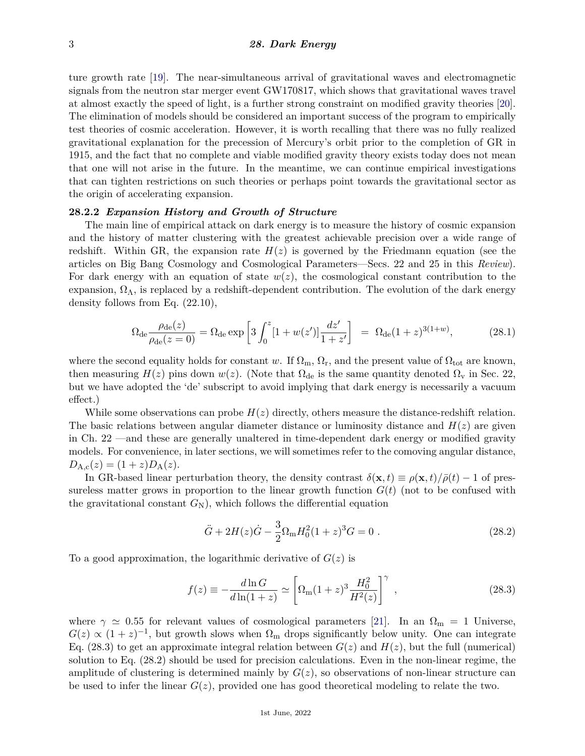ture growth rate [\[19\]](#page-17-11). The near-simultaneous arrival of gravitational waves and electromagnetic signals from the neutron star merger event GW170817, which shows that gravitational waves travel at almost exactly the speed of light, is a further strong constraint on modified gravity theories [\[20\]](#page-17-12). The elimination of models should be considered an important success of the program to empirically test theories of cosmic acceleration. However, it is worth recalling that there was no fully realized gravitational explanation for the precession of Mercury's orbit prior to the completion of GR in 1915, and the fact that no complete and viable modified gravity theory exists today does not mean that one will not arise in the future. In the meantime, we can continue empirical investigations that can tighten restrictions on such theories or perhaps point towards the gravitational sector as the origin of accelerating expansion.

### **28.2.2** *Expansion History and Growth of Structure*

The main line of empirical attack on dark energy is to measure the history of cosmic expansion and the history of matter clustering with the greatest achievable precision over a wide range of redshift. Within GR, the expansion rate  $H(z)$  is governed by the Friedmann equation (see the articles on Big Bang Cosmology and Cosmological Parameters—Secs. 22 and 25 in this *Review*). For dark energy with an equation of state  $w(z)$ , the cosmological constant contribution to the expansion,  $\Omega_{\Lambda}$ , is replaced by a redshift-dependent contribution. The evolution of the dark energy density follows from Eq. (22.10),

$$
\Omega_{\rm de} \frac{\rho_{\rm de}(z)}{\rho_{\rm de}(z=0)} = \Omega_{\rm de} \exp\left[3\int_0^z [1+w(z')] \frac{dz'}{1+z'}\right] = \Omega_{\rm de}(1+z)^{3(1+w)},\tag{28.1}
$$

where the second equality holds for constant *w*. If  $\Omega_m$ ,  $\Omega_r$ , and the present value of  $\Omega_{\text{tot}}$  are known, then measuring  $H(z)$  pins down  $w(z)$ . (Note that  $\Omega_{de}$  is the same quantity denoted  $\Omega_{\rm v}$  in Sec. 22, but we have adopted the 'de' subscript to avoid implying that dark energy is necessarily a vacuum effect.)

While some observations can probe  $H(z)$  directly, others measure the distance-redshift relation. The basic relations between angular diameter distance or luminosity distance and  $H(z)$  are given in Ch. 22 —and these are generally unaltered in time-dependent dark energy or modified gravity models. For convenience, in later sections, we will sometimes refer to the comoving angular distance,  $D_{A,c}(z) = (1+z)D_{A}(z).$ 

In GR-based linear perturbation theory, the density contrast  $\delta(\mathbf{x}, t) \equiv \rho(\mathbf{x}, t)/\bar{\rho}(t) - 1$  of pressureless matter grows in proportion to the linear growth function  $G(t)$  (not to be confused with the gravitational constant  $G_N$ ), which follows the differential equation

$$
\ddot{G} + 2H(z)\dot{G} - \frac{3}{2}\Omega_{\rm m}H_0^2(1+z)^3G = 0.
$$
\n(28.2)

To a good approximation, the logarithmic derivative of *G*(*z*) is

$$
f(z) \equiv -\frac{d\ln G}{d\ln(1+z)} \simeq \left[\Omega_{\rm m}(1+z)^3 \frac{H_0^2}{H^2(z)}\right]^\gamma ,\qquad (28.3)
$$

where  $\gamma \simeq 0.55$  for relevant values of cosmological parameters [\[21\]](#page-17-13). In an  $\Omega_{\rm m} = 1$  Universe,  $G(z) \propto (1+z)^{-1}$ , but growth slows when  $\Omega_{\rm m}$  drops significantly below unity. One can integrate Eq. (28.3) to get an approximate integral relation between  $G(z)$  and  $H(z)$ , but the full (numerical) solution to Eq. (28.2) should be used for precision calculations. Even in the non-linear regime, the amplitude of clustering is determined mainly by  $G(z)$ , so observations of non-linear structure can be used to infer the linear  $G(z)$ , provided one has good theoretical modeling to relate the two.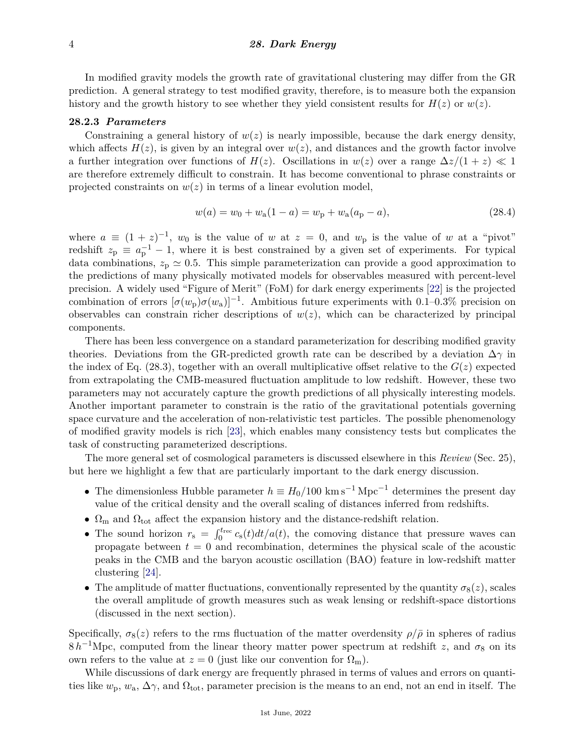### 4 *28. Dark Energy*

In modified gravity models the growth rate of gravitational clustering may differ from the GR prediction. A general strategy to test modified gravity, therefore, is to measure both the expansion history and the growth history to see whether they yield consistent results for  $H(z)$  or  $w(z)$ .

#### **28.2.3** *Parameters*

Constraining a general history of  $w(z)$  is nearly impossible, because the dark energy density, which affects  $H(z)$ , is given by an integral over  $w(z)$ , and distances and the growth factor involve a further integration over functions of  $H(z)$ . Oscillations in  $w(z)$  over a range  $\Delta z/(1+z) \ll 1$ are therefore extremely difficult to constrain. It has become conventional to phrase constraints or projected constraints on  $w(z)$  in terms of a linear evolution model,

$$
w(a) = w_0 + w_a(1 - a) = w_p + w_a(a_p - a),
$$
\n(28.4)

where  $a \equiv (1 + z)^{-1}$ ,  $w_0$  is the value of *w* at  $z = 0$ , and  $w_p$  is the value of *w* at a "pivot" redshift  $z_p \equiv a_p^{-1} - 1$ , where it is best constrained by a given set of experiments. For typical data combinations,  $z_p \simeq 0.5$ . This simple parameterization can provide a good approximation to the predictions of many physically motivated models for observables measured with percent-level precision. A widely used "Figure of Merit" (FoM) for dark energy experiments [\[22\]](#page-17-14) is the projected combination of errors  $[\sigma(w_p)\sigma(w_a)]^{-1}$ . Ambitious future experiments with 0*.*1–0*.*3% precision on observables can constrain richer descriptions of  $w(z)$ , which can be characterized by principal components.

There has been less convergence on a standard parameterization for describing modified gravity theories. Deviations from the GR-predicted growth rate can be described by a deviation  $\Delta\gamma$  in the index of Eq. (28.3), together with an overall multiplicative offset relative to the  $G(z)$  expected from extrapolating the CMB-measured fluctuation amplitude to low redshift. However, these two parameters may not accurately capture the growth predictions of all physically interesting models. Another important parameter to constrain is the ratio of the gravitational potentials governing space curvature and the acceleration of non-relativistic test particles. The possible phenomenology of modified gravity models is rich [\[23\]](#page-17-15), which enables many consistency tests but complicates the task of constructing parameterized descriptions.

The more general set of cosmological parameters is discussed elsewhere in this *Review* (Sec. 25), but here we highlight a few that are particularly important to the dark energy discussion.

- The dimensionless Hubble parameter  $h \equiv H_0/100 \text{ km s}^{-1} \text{ Mpc}^{-1}$  determines the present day value of the critical density and the overall scaling of distances inferred from redshifts.
- $\Omega_{\rm m}$  and  $\Omega_{\rm tot}$  affect the expansion history and the distance-redshift relation.
- The sound horizon  $r_s = \int_0^{t_{\text{rec}}} c_s(t) dt/a(t)$ , the comoving distance that pressure waves can propagate between  $t = 0$  and recombination, determines the physical scale of the acoustic peaks in the CMB and the baryon acoustic oscillation (BAO) feature in low-redshift matter clustering [\[24\]](#page-17-16).
- The amplitude of matter fluctuations, conventionally represented by the quantity  $\sigma_8(z)$ , scales the overall amplitude of growth measures such as weak lensing or redshift-space distortions (discussed in the next section).

Specifically,  $\sigma_8(z)$  refers to the rms fluctuation of the matter overdensity  $\rho/\bar{\rho}$  in spheres of radius  $8 h^{-1}$ Mpc, computed from the linear theory matter power spectrum at redshift *z*, and  $\sigma_8$  on its own refers to the value at  $z = 0$  (just like our convention for  $\Omega_{\rm m}$ ).

While discussions of dark energy are frequently phrased in terms of values and errors on quantities like  $w_p$ ,  $w_a$ ,  $\Delta \gamma$ , and  $\Omega_{\text{tot}}$ , parameter precision is the means to an end, not an end in itself. The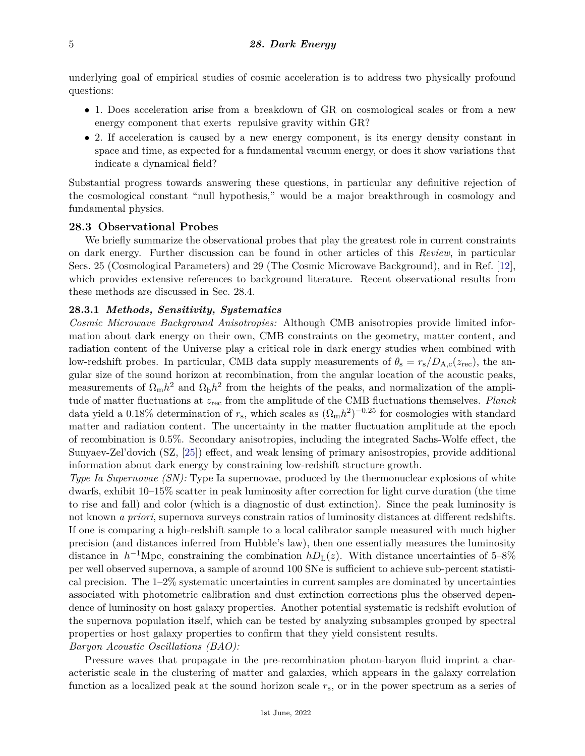underlying goal of empirical studies of cosmic acceleration is to address two physically profound questions:

- 1. Does acceleration arise from a breakdown of GR on cosmological scales or from a new energy component that exerts repulsive gravity within GR?
- 2*.* If acceleration is caused by a new energy component, is its energy density constant in space and time, as expected for a fundamental vacuum energy, or does it show variations that indicate a dynamical field?

Substantial progress towards answering these questions, in particular any definitive rejection of the cosmological constant "null hypothesis," would be a major breakthrough in cosmology and fundamental physics.

### **28.3 Observational Probes**

We briefly summarize the observational probes that play the greatest role in current constraints on dark energy. Further discussion can be found in other articles of this *Review*, in particular Secs. 25 (Cosmological Parameters) and 29 (The Cosmic Microwave Background), and in Ref. [\[12\]](#page-17-4), which provides extensive references to background literature. Recent observational results from these methods are discussed in Sec. 28.4.

## **28.3.1** *Methods, Sensitivity, Systematics*

*Cosmic Microwave Background Anisotropies:* Although CMB anisotropies provide limited information about dark energy on their own, CMB constraints on the geometry, matter content, and radiation content of the Universe play a critical role in dark energy studies when combined with low-redshift probes. In particular, CMB data supply measurements of  $\theta_s = r_s/D_{A,c}(z_{rec})$ , the angular size of the sound horizon at recombination, from the angular location of the acoustic peaks, measurements of  $\Omega_{\rm m}h^2$  and  $\Omega_{\rm b}h^2$  from the heights of the peaks, and normalization of the amplitude of matter fluctuations at *z*rec from the amplitude of the CMB fluctuations themselves. *Planck* data yield a 0.18% determination of  $r_s$ , which scales as  $(\Omega_m h^2)^{-0.25}$  for cosmologies with standard matter and radiation content. The uncertainty in the matter fluctuation amplitude at the epoch of recombination is 0.5%. Secondary anisotropies, including the integrated Sachs-Wolfe effect, the Sunyaev-Zel'dovich (SZ, [\[25\]](#page-17-17)) effect, and weak lensing of primary anisostropies, provide additional information about dark energy by constraining low-redshift structure growth.

*Type Ia Supernovae (SN):* Type Ia supernovae, produced by the thermonuclear explosions of white dwarfs, exhibit 10–15% scatter in peak luminosity after correction for light curve duration (the time to rise and fall) and color (which is a diagnostic of dust extinction). Since the peak luminosity is not known *a priori*, supernova surveys constrain ratios of luminosity distances at different redshifts. If one is comparing a high-redshift sample to a local calibrator sample measured with much higher precision (and distances inferred from Hubble's law), then one essentially measures the luminosity distance in  $h^{-1}$ Mpc, constraining the combination  $hD_{L}(z)$ . With distance uncertainties of 5–8% per well observed supernova, a sample of around 100 SNe is sufficient to achieve sub-percent statistical precision. The 1–2% systematic uncertainties in current samples are dominated by uncertainties associated with photometric calibration and dust extinction corrections plus the observed dependence of luminosity on host galaxy properties. Another potential systematic is redshift evolution of the supernova population itself, which can be tested by analyzing subsamples grouped by spectral properties or host galaxy properties to confirm that they yield consistent results. *Baryon Acoustic Oscillations (BAO):*

Pressure waves that propagate in the pre-recombination photon-baryon fluid imprint a characteristic scale in the clustering of matter and galaxies, which appears in the galaxy correlation function as a localized peak at the sound horizon scale *r*s, or in the power spectrum as a series of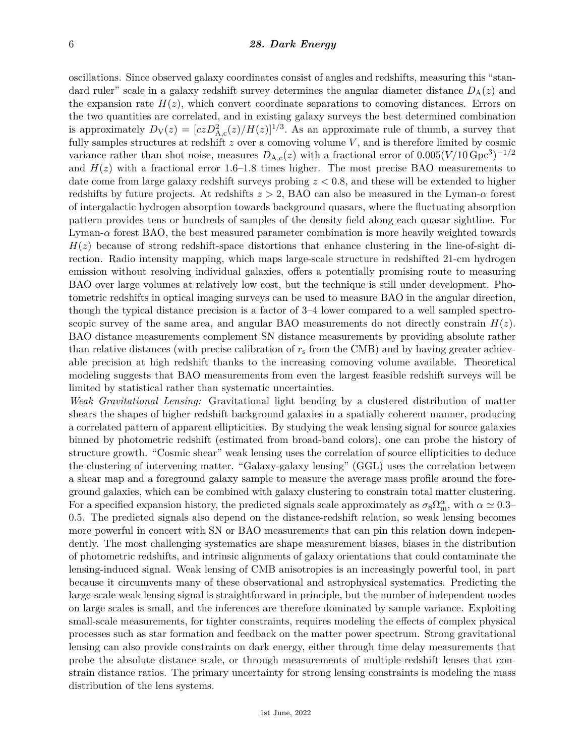### 6 *28. Dark Energy*

oscillations. Since observed galaxy coordinates consist of angles and redshifts, measuring this "standard ruler" scale in a galaxy redshift survey determines the angular diameter distance  $D_A(z)$  and the expansion rate  $H(z)$ , which convert coordinate separations to comoving distances. Errors on the two quantities are correlated, and in existing galaxy surveys the best determined combination is approximately  $D_V(z) = [czD_{A,c}^2(z)/H(z)]^{1/3}$ . As an approximate rule of thumb, a survey that fully samples structures at redshift  $z$  over a comoving volume  $V$ , and is therefore limited by cosmic variance rather than shot noise, measures  $D_{A,c}(z)$  with a fractional error of  $0.005(V/10 \text{ Gpc}^3)^{-1/2}$ and  $H(z)$  with a fractional error 1.6–1.8 times higher. The most precise BAO measurements to date come from large galaxy redshift surveys probing *z <* 0*.*8, and these will be extended to higher redshifts by future projects. At redshifts *z >* 2, BAO can also be measured in the Lyman-*α* forest of intergalactic hydrogen absorption towards background quasars, where the fluctuating absorption pattern provides tens or hundreds of samples of the density field along each quasar sightline. For Lyman- $\alpha$  forest BAO, the best measured parameter combination is more heavily weighted towards  $H(z)$  because of strong redshift-space distortions that enhance clustering in the line-of-sight direction. Radio intensity mapping, which maps large-scale structure in redshifted 21-cm hydrogen emission without resolving individual galaxies, offers a potentially promising route to measuring BAO over large volumes at relatively low cost, but the technique is still under development. Photometric redshifts in optical imaging surveys can be used to measure BAO in the angular direction, though the typical distance precision is a factor of 3–4 lower compared to a well sampled spectroscopic survey of the same area, and angular BAO measurements do not directly constrain  $H(z)$ . BAO distance measurements complement SN distance measurements by providing absolute rather than relative distances (with precise calibration of  $r<sub>s</sub>$  from the CMB) and by having greater achievable precision at high redshift thanks to the increasing comoving volume available. Theoretical modeling suggests that BAO measurements from even the largest feasible redshift surveys will be limited by statistical rather than systematic uncertainties.

*Weak Gravitational Lensing:* Gravitational light bending by a clustered distribution of matter shears the shapes of higher redshift background galaxies in a spatially coherent manner, producing a correlated pattern of apparent ellipticities. By studying the weak lensing signal for source galaxies binned by photometric redshift (estimated from broad-band colors), one can probe the history of structure growth. "Cosmic shear" weak lensing uses the correlation of source ellipticities to deduce the clustering of intervening matter. "Galaxy-galaxy lensing" (GGL) uses the correlation between a shear map and a foreground galaxy sample to measure the average mass profile around the foreground galaxies, which can be combined with galaxy clustering to constrain total matter clustering. For a specified expansion history, the predicted signals scale approximately as  $\sigma_8\Omega_m^{\alpha}$ , with  $\alpha \simeq 0.3-$ 0*.*5. The predicted signals also depend on the distance-redshift relation, so weak lensing becomes more powerful in concert with SN or BAO measurements that can pin this relation down independently. The most challenging systematics are shape measurement biases, biases in the distribution of photometric redshifts, and intrinsic alignments of galaxy orientations that could contaminate the lensing-induced signal. Weak lensing of CMB anisotropies is an increasingly powerful tool, in part because it circumvents many of these observational and astrophysical systematics. Predicting the large-scale weak lensing signal is straightforward in principle, but the number of independent modes on large scales is small, and the inferences are therefore dominated by sample variance. Exploiting small-scale measurements, for tighter constraints, requires modeling the effects of complex physical processes such as star formation and feedback on the matter power spectrum. Strong gravitational lensing can also provide constraints on dark energy, either through time delay measurements that probe the absolute distance scale, or through measurements of multiple-redshift lenses that constrain distance ratios. The primary uncertainty for strong lensing constraints is modeling the mass distribution of the lens systems.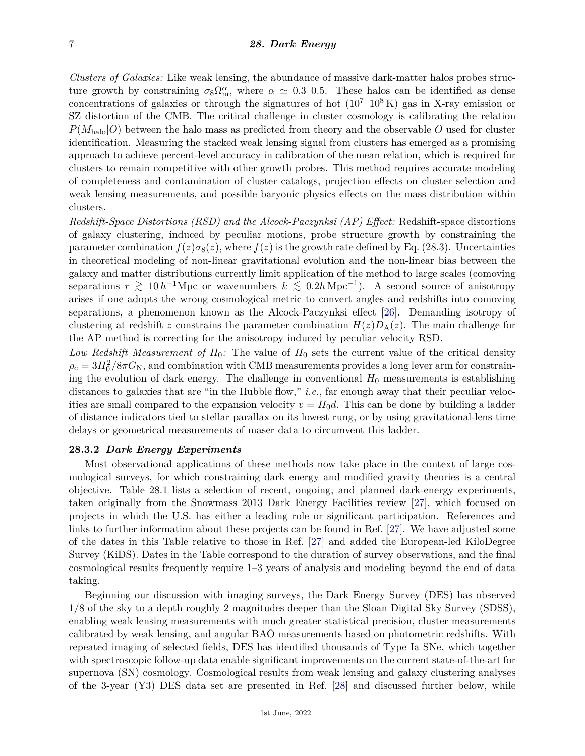*Clusters of Galaxies:* Like weak lensing, the abundance of massive dark-matter halos probes structure growth by constraining  $\sigma_8 \Omega_m^{\alpha}$ , where  $\alpha \simeq 0.3{\text -}0.5$ . These halos can be identified as dense concentrations of galaxies or through the signatures of hot  $(10^7-10^8 \text{ K})$  gas in X-ray emission or SZ distortion of the CMB. The critical challenge in cluster cosmology is calibrating the relation  $P(M_{\text{halo}}|O)$  between the halo mass as predicted from theory and the observable *O* used for cluster identification. Measuring the stacked weak lensing signal from clusters has emerged as a promising approach to achieve percent-level accuracy in calibration of the mean relation, which is required for clusters to remain competitive with other growth probes. This method requires accurate modeling of completeness and contamination of cluster catalogs, projection effects on cluster selection and weak lensing measurements, and possible baryonic physics effects on the mass distribution within clusters.

*Redshift-Space Distortions (RSD) and the Alcock-Paczynksi (AP) Effect:* Redshift-space distortions of galaxy clustering, induced by peculiar motions, probe structure growth by constraining the parameter combination  $f(z)\sigma_8(z)$ , where  $f(z)$  is the growth rate defined by Eq. (28.3). Uncertainties in theoretical modeling of non-linear gravitational evolution and the non-linear bias between the galaxy and matter distributions currently limit application of the method to large scales (comoving separations  $r \gtrsim 10 h^{-1}$ Mpc or wavenumbers  $k \lesssim 0.2 h \text{ Mpc}^{-1}$ ). A second source of anisotropy arises if one adopts the wrong cosmological metric to convert angles and redshifts into comoving separations, a phenomenon known as the Alcock-Paczynksi effect [\[26\]](#page-17-18). Demanding isotropy of clustering at redshift *z* constrains the parameter combination  $H(z)D_A(z)$ . The main challenge for the AP method is correcting for the anisotropy induced by peculiar velocity RSD.

*Low Redshift Measurement of*  $H_0$ : The value of  $H_0$  sets the current value of the critical density  $\rho_\mathrm{c} = 3H_0^2/8\pi G_\mathrm{N}$ , and combination with CMB measurements provides a long lever arm for constraining the evolution of dark energy. The challenge in conventional  $H_0$  measurements is establishing distances to galaxies that are "in the Hubble flow," *i.e.*, far enough away that their peculiar velocities are small compared to the expansion velocity  $v = H_0 d$ . This can be done by building a ladder of distance indicators tied to stellar parallax on its lowest rung, or by using gravitational-lens time delays or geometrical measurements of maser data to circumvent this ladder.

### **28.3.2** *Dark Energy Experiments*

Most observational applications of these methods now take place in the context of large cosmological surveys, for which constraining dark energy and modified gravity theories is a central objective. Table 28.1 lists a selection of recent, ongoing, and planned dark-energy experiments, taken originally from the Snowmass 2013 Dark Energy Facilities review [\[27\]](#page-17-19), which focused on projects in which the U.S. has either a leading role or significant participation. References and links to further information about these projects can be found in Ref. [\[27\]](#page-17-19). We have adjusted some of the dates in this Table relative to those in Ref. [\[27\]](#page-17-19) and added the European-led KiloDegree Survey (KiDS). Dates in the Table correspond to the duration of survey observations, and the final cosmological results frequently require 1–3 years of analysis and modeling beyond the end of data taking.

Beginning our discussion with imaging surveys, the Dark Energy Survey (DES) has observed 1*/*8 of the sky to a depth roughly 2 magnitudes deeper than the Sloan Digital Sky Survey (SDSS), enabling weak lensing measurements with much greater statistical precision, cluster measurements calibrated by weak lensing, and angular BAO measurements based on photometric redshifts. With repeated imaging of selected fields, DES has identified thousands of Type Ia SNe, which together with spectroscopic follow-up data enable significant improvements on the current state-of-the-art for supernova (SN) cosmology. Cosmological results from weak lensing and galaxy clustering analyses of the 3-year (Y3) DES data set are presented in Ref. [\[28\]](#page-17-20) and discussed further below, while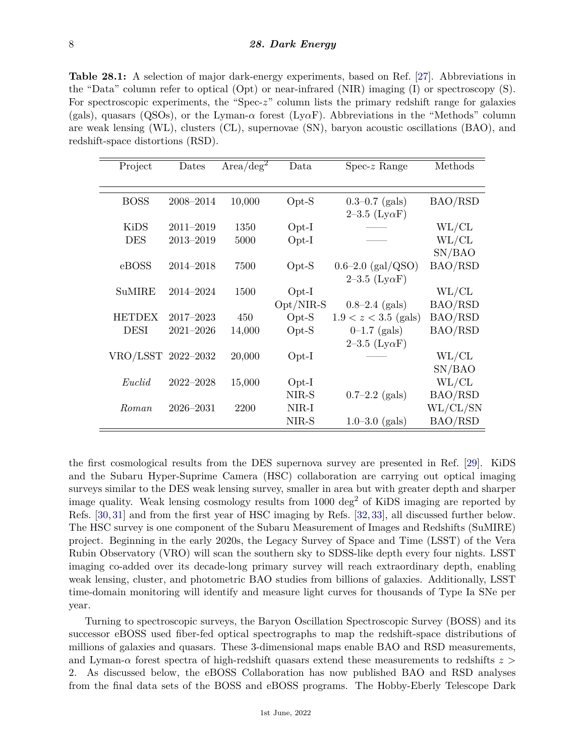**Table 28.1:** A selection of major dark-energy experiments, based on Ref. [\[27\]](#page-17-19). Abbreviations in the "Data" column refer to optical (Opt) or near-infrared (NIR) imaging (I) or spectroscopy (S). For spectroscopic experiments, the "Spec-*z*" column lists the primary redshift range for galaxies (gals), quasars (QSOs), or the Lyman-*α* forest (Ly*α*F). Abbreviations in the "Methods" column are weak lensing (WL), clusters (CL), supernovae (SN), baryon acoustic oscillations (BAO), and redshift-space distortions (RSD).

| Project            | Dates         | Area/deg <sup>2</sup> | Data        | $Spec-z$ Range          | Methods     |
|--------------------|---------------|-----------------------|-------------|-------------------------|-------------|
|                    |               |                       |             |                         |             |
| <b>BOSS</b>        | 2008-2014     | 10,000                | $Opt-S$     | $0.3 - 0.7$ (gals)      | BAO/RSD     |
|                    |               |                       |             | $2-3.5$ (Ly $\alpha$ F) |             |
| <b>KiDS</b>        | $2011 - 2019$ | 1350                  | $Opt-I$     |                         | $\rm WL/CL$ |
| <b>DES</b>         | 2013-2019     | 5000                  | $Opt-I$     |                         | $\rm WL/CL$ |
|                    |               |                       |             |                         | SN/BAO      |
| eBOSS              | 2014-2018     | 7500                  | $Opt-S$     | $0.6 - 2.0$ (gal/QSO)   | BAO/RSD     |
|                    |               |                       |             | $2-3.5$ (Ly $\alpha$ F) |             |
| <b>SuMIRE</b>      | 2014–2024     | 1500                  | $Opt-I$     |                         | WL/CL       |
|                    |               |                       | $Opt/NIR-S$ | $0.8-2.4$ (gals)        | BAO/RSD     |
| <b>HETDEX</b>      | $2017 - 2023$ | 450                   | $Opt-S$     | $1.9 < z < 3.5$ (gals)  | BAO/RSD     |
| <b>DESI</b>        | $2021 - 2026$ | 14,000                | $Opt-S$     | $0-1.7$ (gals)          | BAO/RSD     |
|                    |               |                       |             | $2-3.5$ (Ly $\alpha$ F) |             |
| VRO/LSST 2022-2032 |               | 20,000                | $Opt-I$     |                         | WL/CL       |
|                    |               |                       |             |                         | SN/BAO      |
| Euclid             | $2022 - 2028$ | 15,000                | $Opt-I$     |                         | $\rm WL/CL$ |
|                    |               |                       | NIR-S       | $0.7-2.2$ (gals)        | BAO/RSD     |
| Roman              | $2026 - 2031$ | 2200                  | NIR-I       |                         | WL/CL/SN    |
|                    |               |                       | NIR-S       | $1.0 - 3.0$ (gals)      | BAO/RSD     |

the first cosmological results from the DES supernova survey are presented in Ref. [\[29\]](#page-17-21). KiDS and the Subaru Hyper-Suprime Camera (HSC) collaboration are carrying out optical imaging surveys similar to the DES weak lensing survey, smaller in area but with greater depth and sharper image quality. Weak lensing cosmology results from 1000 deg<sup>2</sup> of KiDS imaging are reported by Refs. [\[30,](#page-17-22) [31\]](#page-17-23) and from the first year of HSC imaging by Refs. [\[32,](#page-17-24) [33\]](#page-17-25), all discussed further below. The HSC survey is one component of the Subaru Measurement of Images and Redshifts (SuMIRE) project. Beginning in the early 2020s, the Legacy Survey of Space and Time (LSST) of the Vera Rubin Observatory (VRO) will scan the southern sky to SDSS-like depth every four nights. LSST imaging co-added over its decade-long primary survey will reach extraordinary depth, enabling weak lensing, cluster, and photometric BAO studies from billions of galaxies. Additionally, LSST time-domain monitoring will identify and measure light curves for thousands of Type Ia SNe per year.

Turning to spectroscopic surveys, the Baryon Oscillation Spectroscopic Survey (BOSS) and its successor eBOSS used fiber-fed optical spectrographs to map the redshift-space distributions of millions of galaxies and quasars. These 3-dimensional maps enable BAO and RSD measurements, and Lyman-*α* forest spectra of high-redshift quasars extend these measurements to redshifts *z >* 2. As discussed below, the eBOSS Collaboration has now published BAO and RSD analyses from the final data sets of the BOSS and eBOSS programs. The Hobby-Eberly Telescope Dark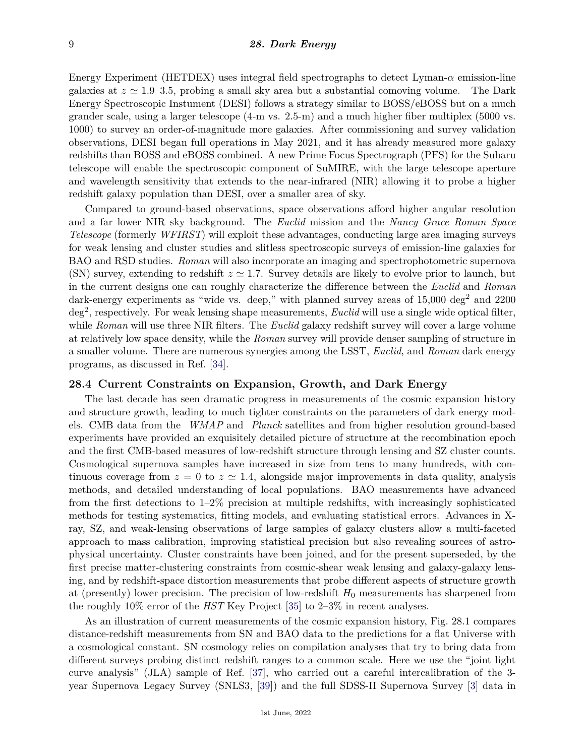Energy Experiment (HETDEX) uses integral field spectrographs to detect Lyman- $\alpha$  emission-line galaxies at  $z \approx 1.9$ –3.5, probing a small sky area but a substantial comoving volume. The Dark Energy Spectroscopic Instument (DESI) follows a strategy similar to BOSS/eBOSS but on a much grander scale, using a larger telescope (4-m vs. 2.5-m) and a much higher fiber multiplex (5000 vs. 1000) to survey an order-of-magnitude more galaxies. After commissioning and survey validation observations, DESI began full operations in May 2021, and it has already measured more galaxy redshifts than BOSS and eBOSS combined. A new Prime Focus Spectrograph (PFS) for the Subaru telescope will enable the spectroscopic component of SuMIRE, with the large telescope aperture and wavelength sensitivity that extends to the near-infrared (NIR) allowing it to probe a higher redshift galaxy population than DESI, over a smaller area of sky.

Compared to ground-based observations, space observations afford higher angular resolution and a far lower NIR sky background. The *Euclid* mission and the *Nancy Grace Roman Space Telescope* (formerly *WFIRST*) will exploit these advantages, conducting large area imaging surveys for weak lensing and cluster studies and slitless spectroscopic surveys of emission-line galaxies for BAO and RSD studies. *Roman* will also incorporate an imaging and spectrophotometric supernova (SN) survey, extending to redshift  $z \approx 1.7$ . Survey details are likely to evolve prior to launch, but in the current designs one can roughly characterize the difference between the *Euclid* and *Roman* dark-energy experiments as "wide vs. deep," with planned survey areas of  $15,000 \text{ deg}^2$  and  $2200$ deg<sup>2</sup> , respectively. For weak lensing shape measurements, *Euclid* will use a single wide optical filter, while *Roman* will use three NIR filters. The *Euclid* galaxy redshift survey will cover a large volume at relatively low space density, while the *Roman* survey will provide denser sampling of structure in a smaller volume. There are numerous synergies among the LSST, *Euclid*, and *Roman* dark energy programs, as discussed in Ref. [\[34\]](#page-17-26).

### **28.4 Current Constraints on Expansion, Growth, and Dark Energy**

The last decade has seen dramatic progress in measurements of the cosmic expansion history and structure growth, leading to much tighter constraints on the parameters of dark energy models. CMB data from the *WMAP* and *Planck* satellites and from higher resolution ground-based experiments have provided an exquisitely detailed picture of structure at the recombination epoch and the first CMB-based measures of low-redshift structure through lensing and SZ cluster counts. Cosmological supernova samples have increased in size from tens to many hundreds, with continuous coverage from  $z = 0$  to  $z \approx 1.4$ , alongside major improvements in data quality, analysis methods, and detailed understanding of local populations. BAO measurements have advanced from the first detections to 1–2% precision at multiple redshifts, with increasingly sophisticated methods for testing systematics, fitting models, and evaluating statistical errors. Advances in Xray, SZ, and weak-lensing observations of large samples of galaxy clusters allow a multi-faceted approach to mass calibration, improving statistical precision but also revealing sources of astrophysical uncertainty. Cluster constraints have been joined, and for the present superseded, by the first precise matter-clustering constraints from cosmic-shear weak lensing and galaxy-galaxy lensing, and by redshift-space distortion measurements that probe different aspects of structure growth at (presently) lower precision. The precision of low-redshift  $H_0$  measurements has sharpened from the roughly 10% error of the *HST* Key Project [\[35\]](#page-17-27) to 2–3% in recent analyses.

As an illustration of current measurements of the cosmic expansion history, Fig. 28.1 compares distance-redshift measurements from SN and BAO data to the predictions for a flat Universe with a cosmological constant. SN cosmology relies on compilation analyses that try to bring data from different surveys probing distinct redshift ranges to a common scale. Here we use the "joint light curve analysis" (JLA) sample of Ref. [\[37\]](#page-18-0), who carried out a careful intercalibration of the 3 year Supernova Legacy Survey (SNLS3, [\[39\]](#page-18-1)) and the full SDSS-II Supernova Survey [\[3\]](#page-16-2) data in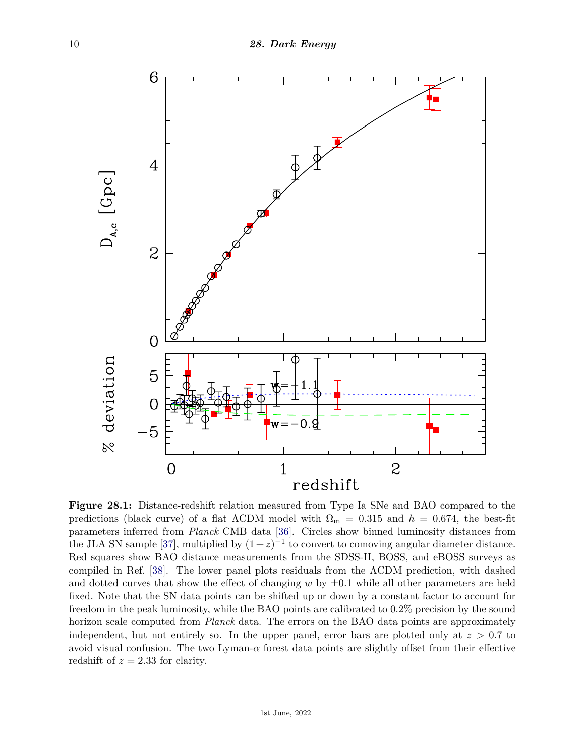

**Figure 28.1:** Distance-redshift relation measured from Type Ia SNe and BAO compared to the predictions (black curve) of a flat  $\Lambda$ CDM model with  $\Omega_{\rm m} = 0.315$  and  $h = 0.674$ , the best-fit parameters inferred from *Planck* CMB data [\[36\]](#page-17-28). Circles show binned luminosity distances from the JLA SN sample [\[37\]](#page-18-0), multiplied by  $(1+z)^{-1}$  to convert to comoving angular diameter distance. Red squares show BAO distance measurements from the SDSS-II, BOSS, and eBOSS surveys as compiled in Ref. [\[38\]](#page-18-2). The lower panel plots residuals from the ΛCDM prediction, with dashed and dotted curves that show the effect of changing  $w$  by  $\pm 0.1$  while all other parameters are held fixed. Note that the SN data points can be shifted up or down by a constant factor to account for freedom in the peak luminosity, while the BAO points are calibrated to 0.2% precision by the sound horizon scale computed from *Planck* data. The errors on the BAO data points are approximately independent, but not entirely so. In the upper panel, error bars are plotted only at  $z > 0.7$  to avoid visual confusion. The two Lyman- $\alpha$  forest data points are slightly offset from their effective redshift of  $z = 2.33$  for clarity.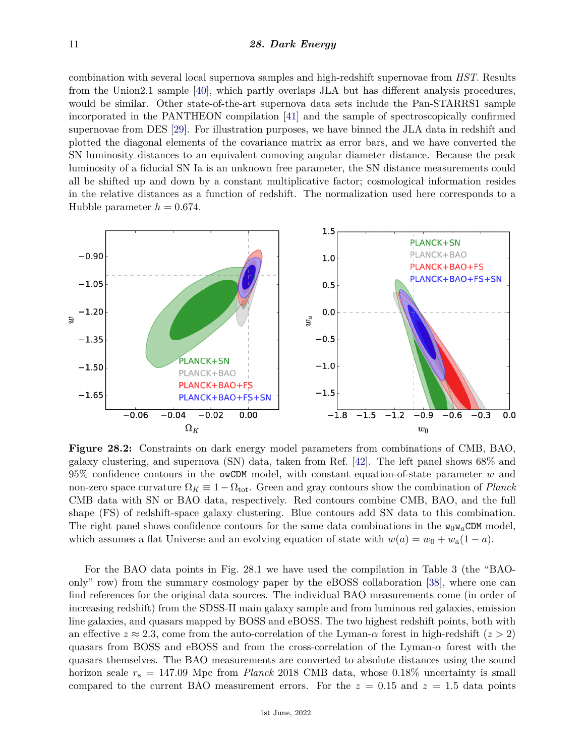### 11 *28. Dark Energy*

combination with several local supernova samples and high-redshift supernovae from *HST*. Results from the Union2.1 sample [\[40\]](#page-18-3), which partly overlaps JLA but has different analysis procedures, would be similar. Other state-of-the-art supernova data sets include the Pan-STARRS1 sample incorporated in the PANTHEON compilation [\[41\]](#page-18-4) and the sample of spectroscopically confirmed supernovae from DES [\[29\]](#page-17-21). For illustration purposes, we have binned the JLA data in redshift and plotted the diagonal elements of the covariance matrix as error bars, and we have converted the SN luminosity distances to an equivalent comoving angular diameter distance. Because the peak luminosity of a fiducial SN Ia is an unknown free parameter, the SN distance measurements could all be shifted up and down by a constant multiplicative factor; cosmological information resides in the relative distances as a function of redshift. The normalization used here corresponds to a Hubble parameter  $h = 0.674$ .



**Figure 28.2:** Constraints on dark energy model parameters from combinations of CMB, BAO, galaxy clustering, and supernova (SN) data, taken from Ref. [\[42\]](#page-18-5). The left panel shows 68% and 95% confidence contours in the owCDM model, with constant equation-of-state parameter *w* and non-zero space curvature  $\Omega_K \equiv 1 - \Omega_{\text{tot}}$ . Green and gray contours show the combination of *Planck* CMB data with SN or BAO data, respectively. Red contours combine CMB, BAO, and the full shape (FS) of redshift-space galaxy clustering. Blue contours add SN data to this combination. The right panel shows confidence contours for the same data combinations in the  $w_0w_aCDM$  model, which assumes a flat Universe and an evolving equation of state with  $w(a) = w_0 + w_a(1 - a)$ .

For the BAO data points in Fig. 28.1 we have used the compilation in Table 3 (the "BAOonly" row) from the summary cosmology paper by the eBOSS collaboration [\[38\]](#page-18-2), where one can find references for the original data sources. The individual BAO measurements come (in order of increasing redshift) from the SDSS-II main galaxy sample and from luminous red galaxies, emission line galaxies, and quasars mapped by BOSS and eBOSS. The two highest redshift points, both with an effective  $z \approx 2.3$ , come from the auto-correlation of the Lyman- $\alpha$  forest in high-redshift  $(z > 2)$ quasars from BOSS and eBOSS and from the cross-correlation of the Lyman- $\alpha$  forest with the quasars themselves. The BAO measurements are converted to absolute distances using the sound horizon scale *r*<sup>s</sup> = 147*.*09 Mpc from *Planck* 2018 CMB data, whose 0.18% uncertainty is small compared to the current BAO measurement errors. For the  $z = 0.15$  and  $z = 1.5$  data points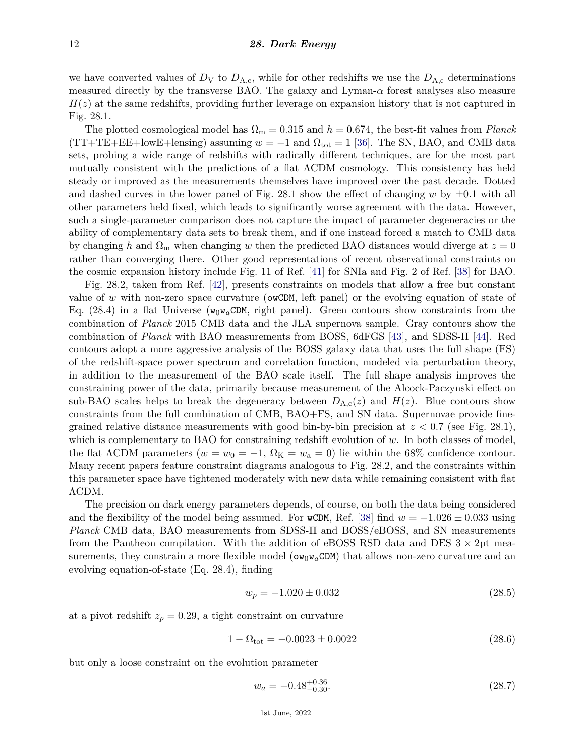we have converted values of  $D_V$  to  $D_{A,c}$ , while for other redshifts we use the  $D_{A,c}$  determinations measured directly by the transverse BAO. The galaxy and Lyman- $\alpha$  forest analyses also measure  $H(z)$  at the same redshifts, providing further leverage on expansion history that is not captured in Fig. 28.1.

The plotted cosmological model has  $\Omega_{\rm m} = 0.315$  and  $h = 0.674$ , the best-fit values from *Planck*  $(TT+TE+EE+lowE+length)$  assuming  $w = -1$  and  $\Omega_{tot} = 1$  [\[36\]](#page-17-28). The SN, BAO, and CMB data sets, probing a wide range of redshifts with radically different techniques, are for the most part mutually consistent with the predictions of a flat ΛCDM cosmology. This consistency has held steady or improved as the measurements themselves have improved over the past decade. Dotted and dashed curves in the lower panel of Fig. 28.1 show the effect of changing  $w$  by  $\pm 0.1$  with all other parameters held fixed, which leads to significantly worse agreement with the data. However, such a single-parameter comparison does not capture the impact of parameter degeneracies or the ability of complementary data sets to break them, and if one instead forced a match to CMB data by changing *h* and  $\Omega_m$  when changing *w* then the predicted BAO distances would diverge at  $z = 0$ rather than converging there. Other good representations of recent observational constraints on the cosmic expansion history include Fig. 11 of Ref. [\[41\]](#page-18-4) for SNIa and Fig. 2 of Ref. [\[38\]](#page-18-2) for BAO.

Fig. 28.2, taken from Ref. [\[42\]](#page-18-5), presents constraints on models that allow a free but constant value of w with non-zero space curvature (owCDM, left panel) or the evolving equation of state of Eq. (28.4) in a flat Universe ( $w_0w_aCDM$ , right panel). Green contours show constraints from the combination of *Planck* 2015 CMB data and the JLA supernova sample. Gray contours show the combination of *Planck* with BAO measurements from BOSS, 6dFGS [\[43\]](#page-18-6), and SDSS-II [\[44\]](#page-18-7). Red contours adopt a more aggressive analysis of the BOSS galaxy data that uses the full shape (FS) of the redshift-space power spectrum and correlation function, modeled via perturbation theory, in addition to the measurement of the BAO scale itself. The full shape analysis improves the constraining power of the data, primarily because measurement of the Alcock-Paczynski effect on sub-BAO scales helps to break the degeneracy between  $D_{A,c}(z)$  and  $H(z)$ . Blue contours show constraints from the full combination of CMB, BAO+FS, and SN data. Supernovae provide finegrained relative distance measurements with good bin-by-bin precision at *z <* 0*.*7 (see Fig. 28.1), which is complementary to BAO for constraining redshift evolution of *w*. In both classes of model, the flat  $\Lambda$ CDM parameters ( $w = w_0 = -1$ ,  $\Omega_K = w_a = 0$ ) lie within the 68% confidence contour. Many recent papers feature constraint diagrams analogous to Fig. 28.2, and the constraints within this parameter space have tightened moderately with new data while remaining consistent with flat ΛCDM.

The precision on dark energy parameters depends, of course, on both the data being considered and the flexibility of the model being assumed. For wCDM, Ref. [\[38\]](#page-18-2) find  $w = -1.026 \pm 0.033$  using *Planck* CMB data, BAO measurements from SDSS-II and BOSS/eBOSS, and SN measurements from the Pantheon compilation. With the addition of eBOSS RSD data and DES  $3 \times 2$ pt measurements, they constrain a more flexible model ( $\omega_{0}w_{a}CDM$ ) that allows non-zero curvature and an evolving equation-of-state (Eq. 28.4), finding

$$
w_p = -1.020 \pm 0.032 \tag{28.5}
$$

at a pivot redshift  $z_p = 0.29$ , a tight constraint on curvature

$$
1 - \Omega_{\text{tot}} = -0.0023 \pm 0.0022 \tag{28.6}
$$

but only a loose constraint on the evolution parameter

$$
w_a = -0.48^{+0.36}_{-0.30}.\tag{28.7}
$$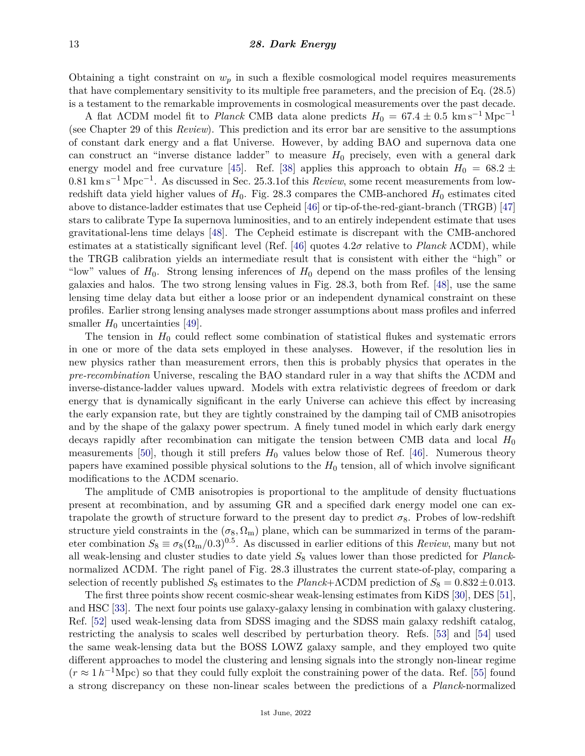Obtaining a tight constraint on  $w_p$  in such a flexible cosmological model requires measurements that have complementary sensitivity to its multiple free parameters, and the precision of Eq. (28.5) is a testament to the remarkable improvements in cosmological measurements over the past decade.

A flat  $\Lambda$ CDM model fit to *Planck* CMB data alone predicts  $H_0 = 67.4 \pm 0.5$  km s<sup>-1</sup> Mpc<sup>-1</sup> (see Chapter 29 of this *Review*). This prediction and its error bar are sensitive to the assumptions of constant dark energy and a flat Universe. However, by adding BAO and supernova data one can construct an "inverse distance ladder" to measure  $H_0$  precisely, even with a general dark energy model and free curvature [\[45\]](#page-18-8). Ref. [\[38\]](#page-18-2) applies this approach to obtain  $H_0 = 68.2 \pm$ 0.81 km s<sup>-1</sup> Mpc<sup>-1</sup>. As discussed in Sec. 25.3.1of this *Review*, some recent measurements from lowredshift data yield higher values of  $H_0$ . Fig. 28.3 compares the CMB-anchored  $H_0$  estimates cited above to distance-ladder estimates that use Cepheid [\[46\]](#page-18-9) or tip-of-the-red-giant-branch (TRGB) [\[47\]](#page-18-10) stars to calibrate Type Ia supernova luminosities, and to an entirely independent estimate that uses gravitational-lens time delays [\[48\]](#page-18-11). The Cepheid estimate is discrepant with the CMB-anchored estimates at a statistically significant level (Ref. [\[46\]](#page-18-9) quotes 4*.*2*σ* relative to *Planck* ΛCDM), while the TRGB calibration yields an intermediate result that is consistent with either the "high" or "low" values of  $H_0$ . Strong lensing inferences of  $H_0$  depend on the mass profiles of the lensing galaxies and halos. The two strong lensing values in Fig. 28.3, both from Ref. [\[48\]](#page-18-11), use the same lensing time delay data but either a loose prior or an independent dynamical constraint on these profiles. Earlier strong lensing analyses made stronger assumptions about mass profiles and inferred smaller  $H_0$  uncertainties [\[49\]](#page-18-12).

The tension in *H*<sup>0</sup> could reflect some combination of statistical flukes and systematic errors in one or more of the data sets employed in these analyses. However, if the resolution lies in new physics rather than measurement errors, then this is probably physics that operates in the *pre-recombination* Universe, rescaling the BAO standard ruler in a way that shifts the ΛCDM and inverse-distance-ladder values upward. Models with extra relativistic degrees of freedom or dark energy that is dynamically significant in the early Universe can achieve this effect by increasing the early expansion rate, but they are tightly constrained by the damping tail of CMB anisotropies and by the shape of the galaxy power spectrum. A finely tuned model in which early dark energy decays rapidly after recombination can mitigate the tension between CMB data and local *H*<sup>0</sup> measurements [\[50\]](#page-18-13), though it still prefers  $H_0$  values below those of Ref. [\[46\]](#page-18-9). Numerous theory papers have examined possible physical solutions to the  $H_0$  tension, all of which involve significant modifications to the ΛCDM scenario.

The amplitude of CMB anisotropies is proportional to the amplitude of density fluctuations present at recombination, and by assuming GR and a specified dark energy model one can extrapolate the growth of structure forward to the present day to predict  $\sigma_8$ . Probes of low-redshift structure yield constraints in the  $(\sigma_8, \Omega_m)$  plane, which can be summarized in terms of the parameter combination  $S_8 \equiv \sigma_8(\Omega_m/0.3)^{0.5}$ . As discussed in earlier editions of this *Review*, many but not all weak-lensing and cluster studies to date yield *S*<sup>8</sup> values lower than those predicted for *Planck*normalized ΛCDM. The right panel of Fig. 28.3 illustrates the current state-of-play, comparing a selection of recently published  $S_8$  estimates to the *Planck*+ΛCDM prediction of  $S_8 = 0.832 \pm 0.013$ .

The first three points show recent cosmic-shear weak-lensing estimates from KiDS [\[30\]](#page-17-22), DES [\[51\]](#page-18-14), and HSC [\[33\]](#page-17-25). The next four points use galaxy-galaxy lensing in combination with galaxy clustering. Ref. [\[52\]](#page-18-15) used weak-lensing data from SDSS imaging and the SDSS main galaxy redshift catalog, restricting the analysis to scales well described by perturbation theory. Refs. [\[53\]](#page-18-16) and [\[54\]](#page-18-17) used the same weak-lensing data but the BOSS LOWZ galaxy sample, and they employed two quite different approaches to model the clustering and lensing signals into the strongly non-linear regime  $(r \approx 1 h^{-1}$ Mpc) so that they could fully exploit the constraining power of the data. Ref. [\[55\]](#page-18-18) found a strong discrepancy on these non-linear scales between the predictions of a *Planck*-normalized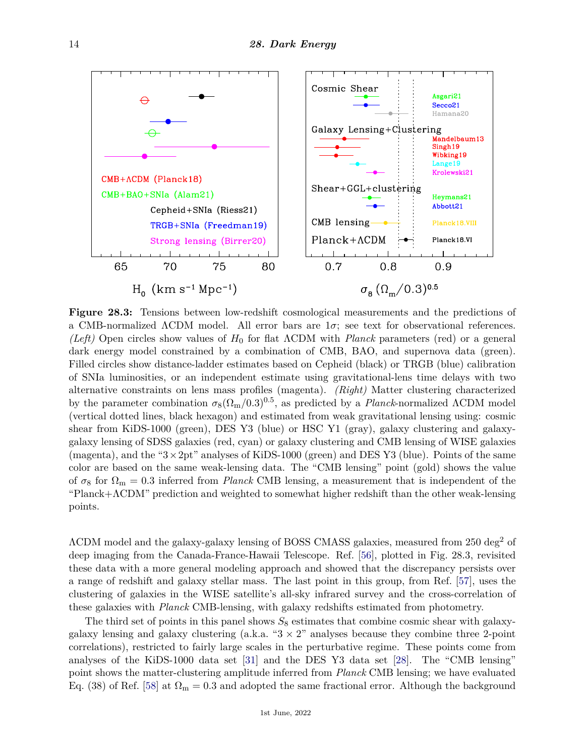

**Figure 28.3:** Tensions between low-redshift cosmological measurements and the predictions of a CMB-normalized  $\Lambda$ CDM model. All error bars are  $1\sigma$ ; see text for observational references. *(Left)* Open circles show values of *H*<sup>0</sup> for flat ΛCDM with *Planck* parameters (red) or a general dark energy model constrained by a combination of CMB, BAO, and supernova data (green). Filled circles show distance-ladder estimates based on Cepheid (black) or TRGB (blue) calibration of SNIa luminosities, or an independent estimate using gravitational-lens time delays with two alternative constraints on lens mass profiles (magenta). *(Right)* Matter clustering characterized by the parameter combination  $\sigma_8(\Omega_m/0.3)^{0.5}$ , as predicted by a *Planck*-normalized  $\Lambda$ CDM model (vertical dotted lines, black hexagon) and estimated from weak gravitational lensing using: cosmic shear from KiDS-1000 (green), DES Y3 (blue) or HSC Y1 (gray), galaxy clustering and galaxygalaxy lensing of SDSS galaxies (red, cyan) or galaxy clustering and CMB lensing of WISE galaxies (magenta), and the " $3\times 2pt$ " analyses of KiDS-1000 (green) and DES Y3 (blue). Points of the same color are based on the same weak-lensing data. The "CMB lensing" point (gold) shows the value of  $\sigma_8$  for  $\Omega_m = 0.3$  inferred from *Planck* CMB lensing, a measurement that is independent of the "Planck+ΛCDM" prediction and weighted to somewhat higher redshift than the other weak-lensing points.

ΛCDM model and the galaxy-galaxy lensing of BOSS CMASS galaxies, measured from 250 deg<sup>2</sup> of deep imaging from the Canada-France-Hawaii Telescope. Ref. [\[56\]](#page-18-19), plotted in Fig. 28.3, revisited these data with a more general modeling approach and showed that the discrepancy persists over a range of redshift and galaxy stellar mass. The last point in this group, from Ref. [\[57\]](#page-18-20), uses the clustering of galaxies in the WISE satellite's all-sky infrared survey and the cross-correlation of these galaxies with *Planck* CMB-lensing, with galaxy redshifts estimated from photometry.

The third set of points in this panel shows  $S_8$  estimates that combine cosmic shear with galaxygalaxy lensing and galaxy clustering (a.k.a. " $3 \times 2$ " analyses because they combine three 2-point correlations), restricted to fairly large scales in the perturbative regime. These points come from analyses of the KiDS-1000 data set [\[31\]](#page-17-23) and the DES Y3 data set [\[28\]](#page-17-20). The "CMB lensing" point shows the matter-clustering amplitude inferred from *Planck* CMB lensing; we have evaluated Eq. (38) of Ref. [\[58\]](#page-18-21) at  $\Omega_{\rm m} = 0.3$  and adopted the same fractional error. Although the background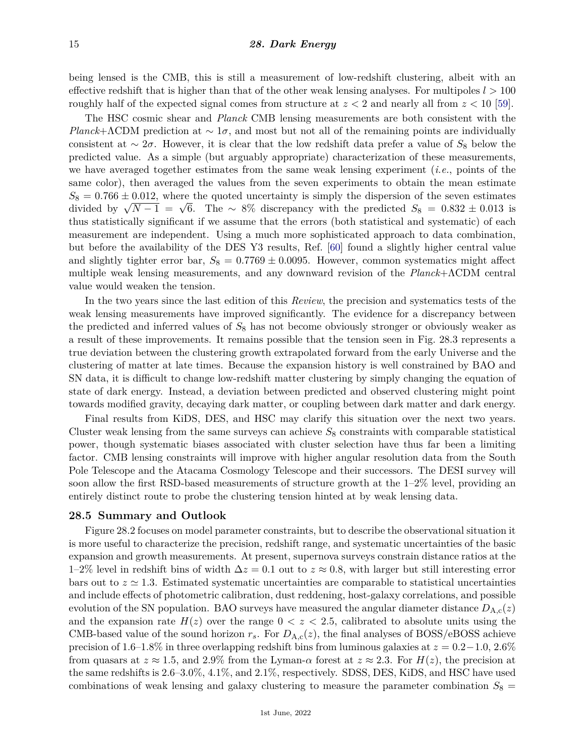being lensed is the CMB, this is still a measurement of low-redshift clustering, albeit with an effective redshift that is higher than that of the other weak lensing analyses. For multipoles  $l > 100$ roughly half of the expected signal comes from structure at  $z < 2$  and nearly all from  $z < 10$  [\[59\]](#page-18-22).

The HSC cosmic shear and *Planck* CMB lensing measurements are both consistent with the *Planck*+ΛCDM prediction at  $\sim 1\sigma$ , and most but not all of the remaining points are individually consistent at ∼ 2*σ*. However, it is clear that the low redshift data prefer a value of *S*<sup>8</sup> below the predicted value. As a simple (but arguably appropriate) characterization of these measurements, we have averaged together estimates from the same weak lensing experiment (*i.e.*, points of the same color), then averaged the values from the seven experiments to obtain the mean estimate  $S_8 = 0.766 \pm 0.012$ , where the quoted uncertainty is simply the dispersion of the seven estimates  $S_8 = 0.766 \pm 0.012$ , where the quoted uncertainty is simply the dispersion of the seven estimates divided by  $\sqrt{N-1} = \sqrt{6}$ . The ~ 8% discrepancy with the predicted  $S_8 = 0.832 \pm 0.013$  is thus statistically significant if we assume that the errors (both statistical and systematic) of each measurement are independent. Using a much more sophisticated approach to data combination, but before the availability of the DES Y3 results, Ref. [\[60\]](#page-18-23) found a slightly higher central value and slightly tighter error bar,  $S_8 = 0.7769 \pm 0.0095$ . However, common systematics might affect multiple weak lensing measurements, and any downward revision of the *Planck*+ΛCDM central value would weaken the tension.

In the two years since the last edition of this *Review*, the precision and systematics tests of the weak lensing measurements have improved significantly. The evidence for a discrepancy between the predicted and inferred values of *S*<sup>8</sup> has not become obviously stronger or obviously weaker as a result of these improvements. It remains possible that the tension seen in Fig. 28.3 represents a true deviation between the clustering growth extrapolated forward from the early Universe and the clustering of matter at late times. Because the expansion history is well constrained by BAO and SN data, it is difficult to change low-redshift matter clustering by simply changing the equation of state of dark energy. Instead, a deviation between predicted and observed clustering might point towards modified gravity, decaying dark matter, or coupling between dark matter and dark energy.

Final results from KiDS, DES, and HSC may clarify this situation over the next two years. Cluster weak lensing from the same surveys can achieve  $S_8$  constraints with comparable statistical power, though systematic biases associated with cluster selection have thus far been a limiting factor. CMB lensing constraints will improve with higher angular resolution data from the South Pole Telescope and the Atacama Cosmology Telescope and their successors. The DESI survey will soon allow the first RSD-based measurements of structure growth at the  $1-2\%$  level, providing an entirely distinct route to probe the clustering tension hinted at by weak lensing data.

#### **28.5 Summary and Outlook**

Figure 28.2 focuses on model parameter constraints, but to describe the observational situation it is more useful to characterize the precision, redshift range, and systematic uncertainties of the basic expansion and growth measurements. At present, supernova surveys constrain distance ratios at the 1–2% level in redshift bins of width ∆*z* = 0*.*1 out to *z* ≈ 0*.*8, with larger but still interesting error bars out to  $z \approx 1.3$ . Estimated systematic uncertainties are comparable to statistical uncertainties and include effects of photometric calibration, dust reddening, host-galaxy correlations, and possible evolution of the SN population. BAO surveys have measured the angular diameter distance  $D_{A,c}(z)$ and the expansion rate  $H(z)$  over the range  $0 < z < 2.5$ , calibrated to absolute units using the CMB-based value of the sound horizon  $r_s$ . For  $D_{A,c}(z)$ , the final analyses of BOSS/eBOSS achieve precision of 1*.*6–1*.*8% in three overlapping redshift bins from luminous galaxies at *z* = 0*.*2−1*.*0, 2.6% from quasars at  $z \approx 1.5$ , and 2.9% from the Lyman- $\alpha$  forest at  $z \approx 2.3$ . For  $H(z)$ , the precision at the same redshifts is 2*.*6–3*.*0%, 4.1%, and 2.1%, respectively. SDSS, DES, KiDS, and HSC have used combinations of weak lensing and galaxy clustering to measure the parameter combination  $S_8$  =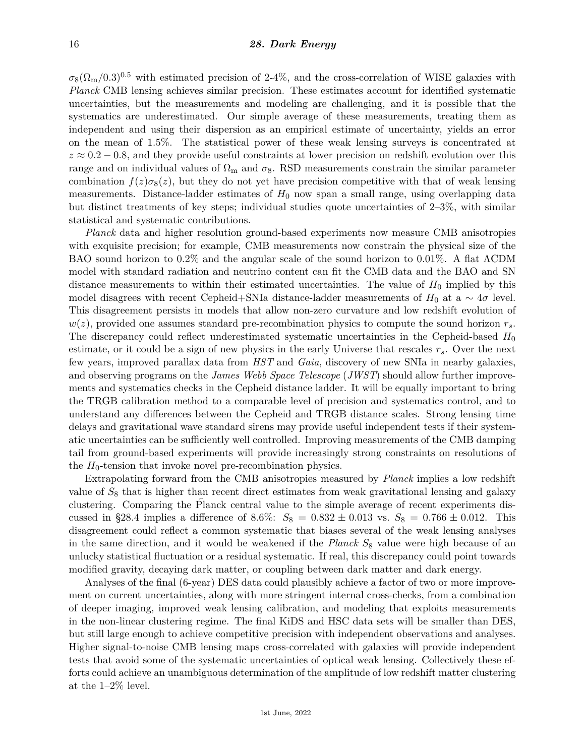$\sigma_8(\Omega_{\rm m}/0.3)^{0.5}$  with estimated precision of 2-4%, and the cross-correlation of WISE galaxies with *Planck* CMB lensing achieves similar precision. These estimates account for identified systematic uncertainties, but the measurements and modeling are challenging, and it is possible that the systematics are underestimated. Our simple average of these measurements, treating them as independent and using their dispersion as an empirical estimate of uncertainty, yields an error on the mean of 1.5%. The statistical power of these weak lensing surveys is concentrated at *z* ≈ 0.2 − 0.8, and they provide useful constraints at lower precision on redshift evolution over this range and on individual values of  $\Omega_{\rm m}$  and  $\sigma_8$ . RSD measurements constrain the similar parameter combination  $f(z)\sigma_8(z)$ , but they do not yet have precision competitive with that of weak lensing measurements. Distance-ladder estimates of  $H_0$  now span a small range, using overlapping data but distinct treatments of key steps; individual studies quote uncertainties of 2–3%, with similar statistical and systematic contributions.

*Planck* data and higher resolution ground-based experiments now measure CMB anisotropies with exquisite precision; for example, CMB measurements now constrain the physical size of the BAO sound horizon to 0.2% and the angular scale of the sound horizon to 0*.*01%. A flat ΛCDM model with standard radiation and neutrino content can fit the CMB data and the BAO and SN distance measurements to within their estimated uncertainties. The value of *H*<sup>0</sup> implied by this model disagrees with recent Cepheid+SNIa distance-ladder measurements of  $H_0$  at a  $\sim 4\sigma$  level. This disagreement persists in models that allow non-zero curvature and low redshift evolution of *w*(*z*), provided one assumes standard pre-recombination physics to compute the sound horizon *rs*. The discrepancy could reflect underestimated systematic uncertainties in the Cepheid-based  $H_0$ estimate, or it could be a sign of new physics in the early Universe that rescales *rs*. Over the next few years, improved parallax data from *HST* and *Gaia*, discovery of new SNIa in nearby galaxies, and observing programs on the *James Webb Space Telescope* (*JWST*) should allow further improvements and systematics checks in the Cepheid distance ladder. It will be equally important to bring the TRGB calibration method to a comparable level of precision and systematics control, and to understand any differences between the Cepheid and TRGB distance scales. Strong lensing time delays and gravitational wave standard sirens may provide useful independent tests if their systematic uncertainties can be sufficiently well controlled. Improving measurements of the CMB damping tail from ground-based experiments will provide increasingly strong constraints on resolutions of the  $H_0$ -tension that invoke novel pre-recombination physics.

Extrapolating forward from the CMB anisotropies measured by *Planck* implies a low redshift value of *S*<sup>8</sup> that is higher than recent direct estimates from weak gravitational lensing and galaxy clustering. Comparing the Planck central value to the simple average of recent experiments dis cussed in §28.4 implies a difference of 8.6%:  $S_8 = 0.832 \pm 0.013$  vs.  $S_8 = 0.766 \pm 0.012$ . This disagreement could reflect a common systematic that biases several of the weak lensing analyses in the same direction, and it would be weakened if the *Planck S*<sup>8</sup> value were high because of an unlucky statistical fluctuation or a residual systematic. If real, this discrepancy could point towards modified gravity, decaying dark matter, or coupling between dark matter and dark energy.

Analyses of the final (6-year) DES data could plausibly achieve a factor of two or more improvement on current uncertainties, along with more stringent internal cross-checks, from a combination of deeper imaging, improved weak lensing calibration, and modeling that exploits measurements in the non-linear clustering regime. The final KiDS and HSC data sets will be smaller than DES, but still large enough to achieve competitive precision with independent observations and analyses. Higher signal-to-noise CMB lensing maps cross-correlated with galaxies will provide independent tests that avoid some of the systematic uncertainties of optical weak lensing. Collectively these efforts could achieve an unambiguous determination of the amplitude of low redshift matter clustering at the 1–2% level.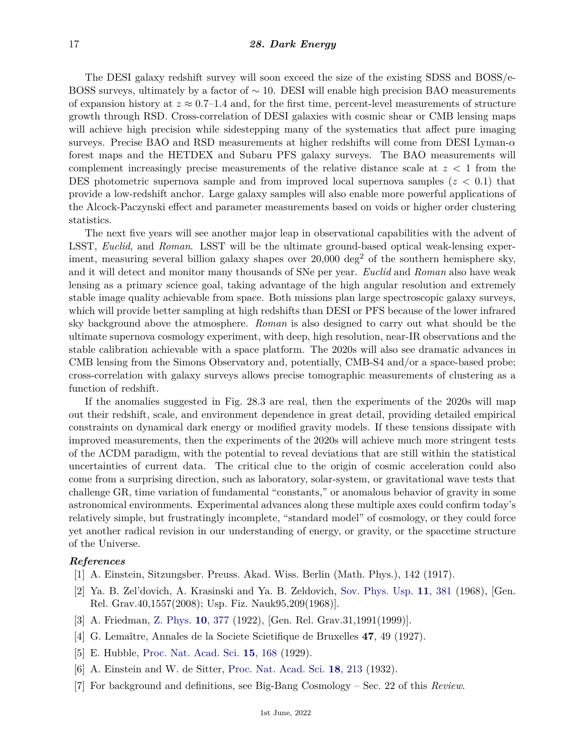The DESI galaxy redshift survey will soon exceed the size of the existing SDSS and BOSS/e-BOSS surveys, ultimately by a factor of  $\sim$  10. DESI will enable high precision BAO measurements of expansion history at  $z \approx 0.7$ –1.4 and, for the first time, percent-level measurements of structure growth through RSD. Cross-correlation of DESI galaxies with cosmic shear or CMB lensing maps will achieve high precision while sidestepping many of the systematics that affect pure imaging surveys. Precise BAO and RSD measurements at higher redshifts will come from DESI Lyman-*α* forest maps and the HETDEX and Subaru PFS galaxy surveys. The BAO measurements will complement increasingly precise measurements of the relative distance scale at *z <* 1 from the DES photometric supernova sample and from improved local supernova samples (*z <* 0*.*1) that provide a low-redshift anchor. Large galaxy samples will also enable more powerful applications of the Alcock-Paczynski effect and parameter measurements based on voids or higher order clustering statistics.

The next five years will see another major leap in observational capabilities with the advent of LSST, *Euclid*, and *Roman*. LSST will be the ultimate ground-based optical weak-lensing experiment, measuring several billion galaxy shapes over 20,000 deg<sup>2</sup> of the southern hemisphere sky, and it will detect and monitor many thousands of SNe per year. *Euclid* and *Roman* also have weak lensing as a primary science goal, taking advantage of the high angular resolution and extremely stable image quality achievable from space. Both missions plan large spectroscopic galaxy surveys, which will provide better sampling at high redshifts than DESI or PFS because of the lower infrared sky background above the atmosphere. *Roman* is also designed to carry out what should be the ultimate supernova cosmology experiment, with deep, high resolution, near-IR observations and the stable calibration achievable with a space platform. The 2020s will also see dramatic advances in CMB lensing from the Simons Observatory and, potentially, CMB-S4 and/or a space-based probe; cross-correlation with galaxy surveys allows precise tomographic measurements of clustering as a function of redshift.

If the anomalies suggested in Fig. 28.3 are real, then the experiments of the 2020s will map out their redshift, scale, and environment dependence in great detail, providing detailed empirical constraints on dynamical dark energy or modified gravity models. If these tensions dissipate with improved measurements, then the experiments of the 2020s will achieve much more stringent tests of the ΛCDM paradigm, with the potential to reveal deviations that are still within the statistical uncertainties of current data. The critical clue to the origin of cosmic acceleration could also come from a surprising direction, such as laboratory, solar-system, or gravitational wave tests that challenge GR, time variation of fundamental "constants," or anomalous behavior of gravity in some astronomical environments. Experimental advances along these multiple axes could confirm today's relatively simple, but frustratingly incomplete, "standard model" of cosmology, or they could force yet another radical revision in our understanding of energy, or gravity, or the spacetime structure of the Universe.

### <span id="page-16-0"></span>*References*

- <span id="page-16-1"></span>[1] A. Einstein, Sitzungsber. Preuss. Akad. Wiss. Berlin (Math. Phys.), 142 (1917).
- [2] Ya. B. Zel'dovich, A. Krasinski and Ya. B. Zeldovich, [Sov. Phys. Usp.](http://doi.org/10.1007/s10714-008-0624-6) **11**[, 381](http://doi.org/10.1007/s10714-008-0624-6) (1968), [Gen. Rel. Grav.40,1557(2008); Usp. Fiz. Nauk95,209(1968)].
- <span id="page-16-2"></span>[3] A. Friedman, [Z. Phys.](http://doi.org/10.1007/BF01332580) **10**[, 377](http://doi.org/10.1007/BF01332580) (1922), [Gen. Rel. Grav.31,1991(1999)].
- <span id="page-16-3"></span>[4] G. Lemaître, Annales de la Societe Scietifique de Bruxelles **47**, 49 (1927).
- <span id="page-16-5"></span><span id="page-16-4"></span>[5] E. Hubble, [Proc. Nat. Acad. Sci.](http://doi.org/10.1073/pnas.15.3.168) **15**[, 168](http://doi.org/10.1073/pnas.15.3.168) (1929).
- <span id="page-16-6"></span>[6] A. Einstein and W. de Sitter, [Proc. Nat. Acad. Sci.](http://doi.org/10.1073/pnas.18.3.213) **18**[, 213](http://doi.org/10.1073/pnas.18.3.213) (1932).
- [7] For background and definitions, see Big-Bang Cosmology Sec. 22 of this *Review*.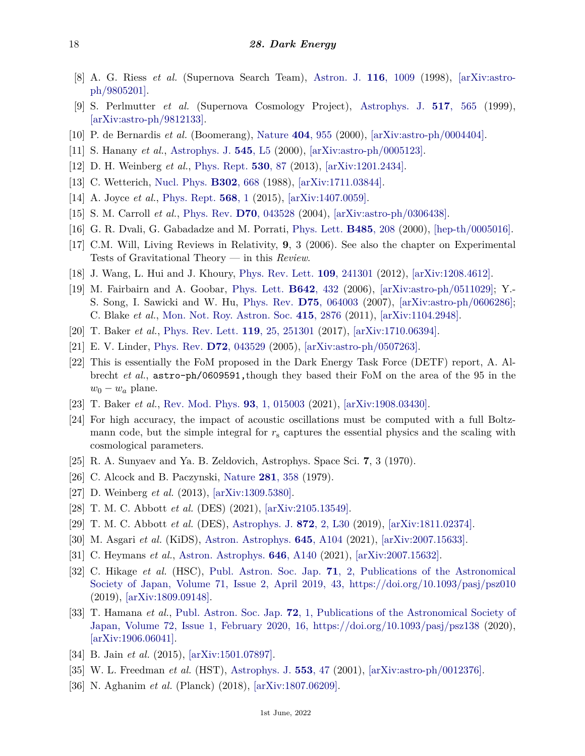- <span id="page-17-0"></span>[8] A. G. Riess *et al.* (Supernova Search Team), [Astron. J.](http://doi.org/10.1086/300499) **116**[, 1009](http://doi.org/10.1086/300499) (1998), [\[arXiv:astro](https://arxiv.org/abs/astro-ph/9805201)[ph/9805201\].](https://arxiv.org/abs/astro-ph/9805201)
- <span id="page-17-1"></span>[9] S. Perlmutter *et al.* (Supernova Cosmology Project), [Astrophys. J.](http://doi.org/10.1086/307221) **517**[, 565](http://doi.org/10.1086/307221) (1999), [\[arXiv:astro-ph/9812133\].](https://arxiv.org/abs/astro-ph/9812133)
- <span id="page-17-2"></span>[10] P. de Bernardis *et al.* (Boomerang), [Nature](http://doi.org/10.1038/35010035) **404**[, 955](http://doi.org/10.1038/35010035) (2000), [\[arXiv:astro-ph/0004404\].](https://arxiv.org/abs/astro-ph/0004404)
- <span id="page-17-3"></span>[11] S. Hanany *et al.*, [Astrophys. J.](http://doi.org/10.1086/317322) **545**[, L5](http://doi.org/10.1086/317322) (2000), [\[arXiv:astro-ph/0005123\].](https://arxiv.org/abs/astro-ph/0005123)
- <span id="page-17-4"></span>[12] D. H. Weinberg *et al.*, [Phys. Rept.](http://doi.org/10.1016/j.physrep.2013.05.001) **[530](http://doi.org/10.1016/j.physrep.2013.05.001)**, 87 (2013), [\[arXiv:1201.2434\].](https://arxiv.org/abs/1201.2434)
- <span id="page-17-5"></span>[13] C. Wetterich, [Nucl. Phys.](http://doi.org/10.1016/0550-3213(88)90193-9) **[B302](http://doi.org/10.1016/0550-3213(88)90193-9)**, 668 (1988), [\[arXiv:1711.03844\].](https://arxiv.org/abs/1711.03844)
- <span id="page-17-6"></span>[14] A. Joyce *et al.*, [Phys. Rept.](http://doi.org/10.1016/j.physrep.2014.12.002) **[568](http://doi.org/10.1016/j.physrep.2014.12.002)**, 1 (2015), [\[arXiv:1407.0059\].](https://arxiv.org/abs/1407.0059)
- <span id="page-17-7"></span>[15] S. M. Carroll *et al.*, [Phys. Rev.](http://doi.org/10.1103/PhysRevD.70.043528) **D70**[, 043528](http://doi.org/10.1103/PhysRevD.70.043528) (2004), [\[arXiv:astro-ph/0306438\].](https://arxiv.org/abs/astro-ph/0306438)
- <span id="page-17-8"></span>[16] G. R. Dvali, G. Gabadadze and M. Porrati, [Phys. Lett.](http://doi.org/10.1016/S0370-2693(00)00669-9) **[B485](http://doi.org/10.1016/S0370-2693(00)00669-9)**, 208 (2000), [\[hep-th/0005016\].](https://arxiv.org/abs/hep-th/0005016)
- <span id="page-17-9"></span>[17] C.M. Will, Living Reviews in Relativity, **9**, 3 (2006). See also the chapter on Experimental Tests of Gravitational Theory — in this *Review*.
- <span id="page-17-10"></span>[18] J. Wang, L. Hui and J. Khoury, [Phys. Rev. Lett.](http://doi.org/10.1103/PhysRevLett.109.241301) **109**[, 241301](http://doi.org/10.1103/PhysRevLett.109.241301) (2012), [\[arXiv:1208.4612\].](https://arxiv.org/abs/1208.4612)
- <span id="page-17-11"></span>[19] M. Fairbairn and A. Goobar, [Phys. Lett.](http://doi.org/10.1016/j.physletb.2006.07.048) **[B642](http://doi.org/10.1016/j.physletb.2006.07.048)**, 432 (2006), [\[arXiv:astro-ph/0511029\];](https://arxiv.org/abs/astro-ph/0511029) Y.- S. Song, I. Sawicki and W. Hu, [Phys. Rev.](http://doi.org/10.1103/PhysRevD.75.064003) **D75**[, 064003](http://doi.org/10.1103/PhysRevD.75.064003) (2007), [\[arXiv:astro-ph/0606286\];](https://arxiv.org/abs/astro-ph/0606286) C. Blake *et al.*, [Mon. Not. Roy. Astron. Soc.](http://doi.org/10.1111/j.1365-2966.2011.18903.x) **415**[, 2876](http://doi.org/10.1111/j.1365-2966.2011.18903.x) (2011), [\[arXiv:1104.2948\].](https://arxiv.org/abs/1104.2948)
- <span id="page-17-12"></span>[20] T. Baker *et al.*, [Phys. Rev. Lett.](http://doi.org/10.1103/PhysRevLett.119.251301) **119**[, 25, 251301](http://doi.org/10.1103/PhysRevLett.119.251301) (2017), [\[arXiv:1710.06394\].](https://arxiv.org/abs/1710.06394)
- <span id="page-17-13"></span>[21] E. V. Linder, [Phys. Rev.](http://doi.org/10.1103/PhysRevD.72.043529) **D72**[, 043529](http://doi.org/10.1103/PhysRevD.72.043529) (2005), [\[arXiv:astro-ph/0507263\].](https://arxiv.org/abs/astro-ph/0507263)
- <span id="page-17-14"></span>[22] This is essentially the FoM proposed in the Dark Energy Task Force (DETF) report, A. Albrecht *et al.*, astro-ph/0609591,though they based their FoM on the area of the 95 in the  $w_0 - w_a$  plane.
- <span id="page-17-15"></span>[23] T. Baker *et al.*, [Rev. Mod. Phys.](http://doi.org/10.1103/RevModPhys.93.015003) **93**[, 1, 015003](http://doi.org/10.1103/RevModPhys.93.015003) (2021), [\[arXiv:1908.03430\].](https://arxiv.org/abs/1908.03430)
- <span id="page-17-16"></span>[24] For high accuracy, the impact of acoustic oscillations must be computed with a full Boltzmann code, but the simple integral for *r*<sup>s</sup> captures the essential physics and the scaling with cosmological parameters.
- <span id="page-17-17"></span>[25] R. A. Sunyaev and Ya. B. Zeldovich, Astrophys. Space Sci. **7**, 3 (1970).
- <span id="page-17-18"></span>[26] C. Alcock and B. Paczynski, [Nature](http://doi.org/10.1038/281358a0) **281**[, 358](http://doi.org/10.1038/281358a0) (1979).
- <span id="page-17-19"></span>[27] D. Weinberg *et al.* (2013), [\[arXiv:1309.5380\].](https://arxiv.org/abs/1309.5380)
- <span id="page-17-20"></span>[28] T. M. C. Abbott *et al.* (DES) (2021), [\[arXiv:2105.13549\].](https://arxiv.org/abs/2105.13549)
- <span id="page-17-21"></span>[29] T. M. C. Abbott *et al.* (DES), [Astrophys. J.](http://doi.org/10.3847/2041-8213/ab04fa) **872**[, 2, L30](http://doi.org/10.3847/2041-8213/ab04fa) (2019), [\[arXiv:1811.02374\].](https://arxiv.org/abs/1811.02374)
- <span id="page-17-22"></span>[30] M. Asgari *et al.* (KiDS), [Astron. Astrophys.](http://doi.org/10.1051/0004-6361/202039070) **645**[, A104](http://doi.org/10.1051/0004-6361/202039070) (2021), [\[arXiv:2007.15633\].](https://arxiv.org/abs/2007.15633)
- <span id="page-17-23"></span>[31] C. Heymans *et al.*, [Astron. Astrophys.](http://doi.org/10.1051/0004-6361/202039063) **646**[, A140](http://doi.org/10.1051/0004-6361/202039063) (2021), [\[arXiv:2007.15632\].](https://arxiv.org/abs/2007.15632)
- <span id="page-17-24"></span>[32] C. Hikage *et al.* (HSC), [Publ. Astron. Soc. Jap.](http://doi.org/10.1093/pasj/psz010) **71**[, 2, Publications of the Astronomical](http://doi.org/10.1093/pasj/psz010) [Society of Japan, Volume 71, Issue 2, April 2019, 43, https://doi.org/10.1093/pasj/psz010](http://doi.org/10.1093/pasj/psz010) (2019), [\[arXiv:1809.09148\].](https://arxiv.org/abs/1809.09148)
- <span id="page-17-25"></span>[33] T. Hamana *et al.*, [Publ. Astron. Soc. Jap.](http://doi.org/10.1093/pasj/psz138) **72**[, 1, Publications of the Astronomical Society of](http://doi.org/10.1093/pasj/psz138) [Japan, Volume 72, Issue 1, February 2020, 16, https://doi.org/10.1093/pasj/psz138](http://doi.org/10.1093/pasj/psz138) (2020), [\[arXiv:1906.06041\].](https://arxiv.org/abs/1906.06041)
- <span id="page-17-27"></span><span id="page-17-26"></span>[34] B. Jain *et al.* (2015), [\[arXiv:1501.07897\].](https://arxiv.org/abs/1501.07897)
- [35] W. L. Freedman *et al.* (HST), [Astrophys. J.](http://doi.org/10.1086/320638) **[553](http://doi.org/10.1086/320638)**, 47 (2001), [\[arXiv:astro-ph/0012376\].](https://arxiv.org/abs/astro-ph/0012376)
- <span id="page-17-28"></span>[36] N. Aghanim *et al.* (Planck) (2018), [\[arXiv:1807.06209\].](https://arxiv.org/abs/1807.06209)